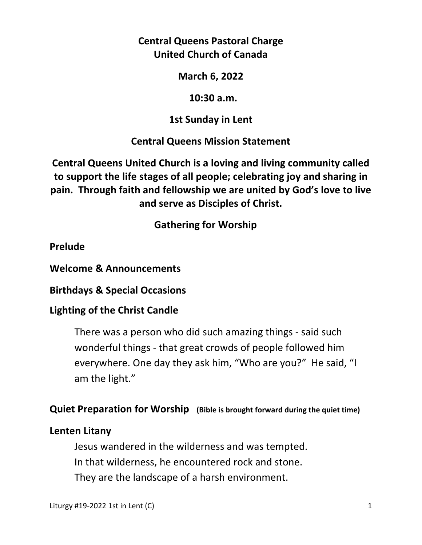**Central Queens Pastoral Charge United Church of Canada** 

**March 6, 2022** 

 **10:30 a.m.** 

**1st Sunday in Lent** 

**Central Queens Mission Statement** 

**Central Queens United Church is a loving and living community called to support the life stages of all people; celebrating joy and sharing in pain. Through faith and fellowship we are united by God's love to live and serve as Disciples of Christ.**

 **Gathering for Worship** 

**Prelude** 

**Welcome & Announcements** 

**Birthdays & Special Occasions** 

### **Lighting of the Christ Candle**

There was a person who did such amazing things - said such wonderful things - that great crowds of people followed him everywhere. One day they ask him, "Who are you?" He said, "I am the light."

### **Quiet Preparation for Worship (Bible is brought forward during the quiet time)**

### **Lenten Litany**

 Jesus wandered in the wilderness and was tempted. In that wilderness, he encountered rock and stone. They are the landscape of a harsh environment.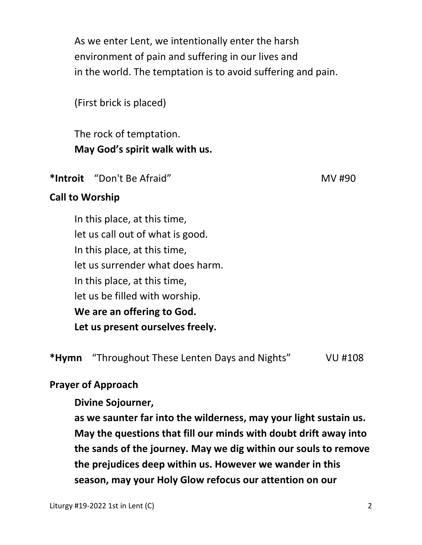As we enter Lent, we intentionally enter the harsh environment of pain and suffering in our lives and in the world. The temptation is to avoid suffering and pain.

(First brick is placed)

 The rock of temptation.  **May God's spirit walk with us.** 

\*Introit "Don't Be Afraid" New York 1990

## **Call to Worship**

In this place, at this time, let us call out of what is good. In this place, at this time, let us surrender what does harm. In this place, at this time, let us be filled with worship. **We are an offering to God. Let us present ourselves freely.** 

**\*Hymn** "Throughout These Lenten Days and Nights" VU #108

# **Prayer of Approach**

 **Divine Sojourner,** 

 **as we saunter far into the wilderness, may your light sustain us. May the questions that fill our minds with doubt drift away into the sands of the journey. May we dig within our souls to remove the prejudices deep within us. However we wander in this season, may your Holy Glow refocus our attention on our**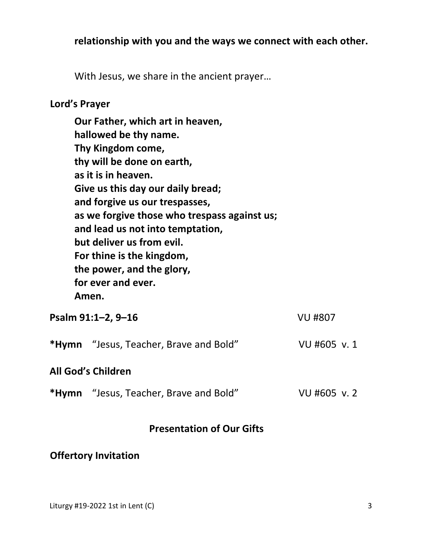### **relationship with you and the ways we connect with each other.**

With Jesus, we share in the ancient prayer…

#### **Lord's Prayer**

**Our Father, which art in heaven, hallowed be thy name. Thy Kingdom come, thy will be done on earth, as it is in heaven. Give us this day our daily bread; and forgive us our trespasses, as we forgive those who trespass against us; and lead us not into temptation, but deliver us from evil. For thine is the kingdom, the power, and the glory, for ever and ever. Amen.** 

| Psalm 91:1-2, 9-16        |                                               | <b>VU #807</b> |
|---------------------------|-----------------------------------------------|----------------|
|                           | <b>*Hymn</b> "Jesus, Teacher, Brave and Bold" | VU #605 v.1    |
| <b>All God's Children</b> |                                               |                |
|                           | <b>*Hymn</b> "Jesus, Teacher, Brave and Bold" | VU #605 v.2    |

## **Presentation of Our Gifts**

## **Offertory Invitation**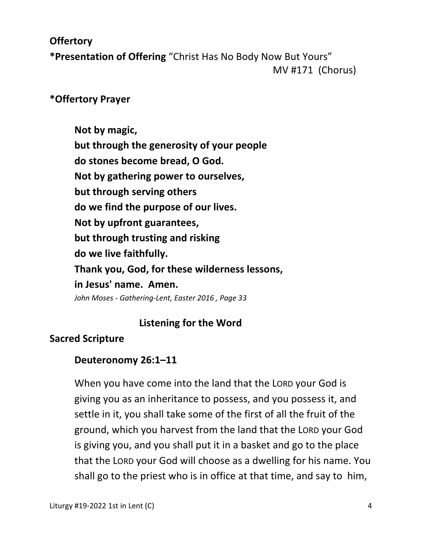## **Offertory**

**\*Presentation of Offering** "Christ Has No Body Now But Yours" MV #171 (Chorus)

## **\*Offertory Prayer**

 **Not by magic, but through the generosity of your people do stones become bread, O God. Not by gathering power to ourselves, but through serving others do we find the purpose of our lives. Not by upfront guarantees, but through trusting and risking do we live faithfully. Thank you, God, for these wilderness lessons, in Jesus' name. Amen.**  *John Moses - Gathering-Lent, Easter 2016 , Page 33* 

### **Listening for the Word**

# **Sacred Scripture**

# **Deuteronomy 26:1–11**

When you have come into the land that the LORD your God is giving you as an inheritance to possess, and you possess it, and settle in it, you shall take some of the first of all the fruit of the ground, which you harvest from the land that the LORD your God is giving you, and you shall put it in a basket and go to the place that the LORD your God will choose as a dwelling for his name. You shall go to the priest who is in office at that time, and say to him,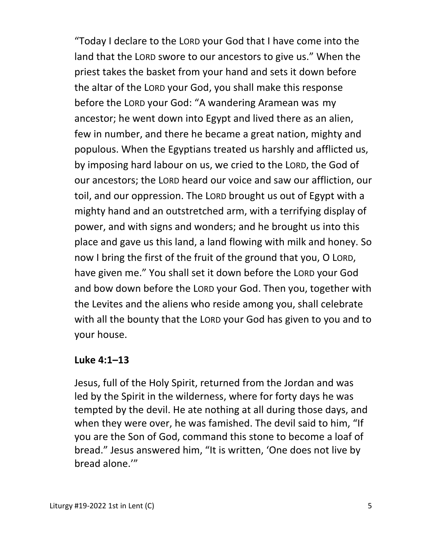"Today I declare to the LORD your God that I have come into the land that the LORD swore to our ancestors to give us." When the priest takes the basket from your hand and sets it down before the altar of the LORD your God, you shall make this response before the LORD your God: "A wandering Aramean was my ancestor; he went down into Egypt and lived there as an alien, few in number, and there he became a great nation, mighty and populous. When the Egyptians treated us harshly and afflicted us, by imposing hard labour on us, we cried to the LORD, the God of our ancestors; the LORD heard our voice and saw our affliction, our toil, and our oppression. The LORD brought us out of Egypt with a mighty hand and an outstretched arm, with a terrifying display of power, and with signs and wonders; and he brought us into this place and gave us this land, a land flowing with milk and honey. So now I bring the first of the fruit of the ground that you, O LORD, have given me." You shall set it down before the LORD your God and bow down before the LORD your God. Then you, together with the Levites and the aliens who reside among you, shall celebrate with all the bounty that the LORD your God has given to you and to your house.

### **Luke 4:1–13**

 Jesus, full of the Holy Spirit, returned from the Jordan and was led by the Spirit in the wilderness, where for forty days he was tempted by the devil. He ate nothing at all during those days, and when they were over, he was famished. The devil said to him, "If you are the Son of God, command this stone to become a loaf of bread." Jesus answered him, "It is written, 'One does not live by bread alone.'"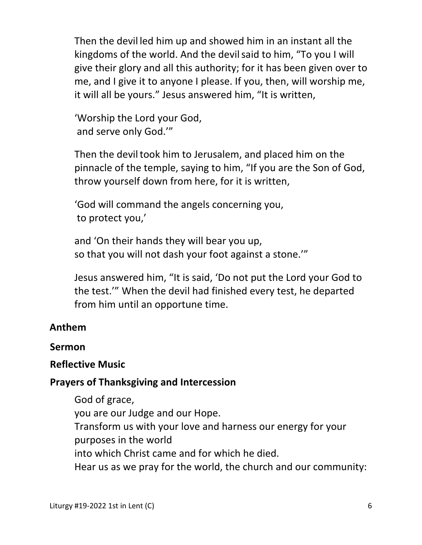Then the devil led him up and showed him in an instant all the kingdoms of the world. And the devilsaid to him, "To you I will give their glory and all this authority; for it has been given over to me, and I give it to anyone I please. If you, then, will worship me, it will all be yours." Jesus answered him, "It is written,

 'Worship the Lord your God, and serve only God.'"

Then the devil took him to Jerusalem, and placed him on the pinnacle of the temple, saying to him, "If you are the Son of God, throw yourself down from here, for it is written,

 'God will command the angels concerning you, to protect you,'

and 'On their hands they will bear you up, so that you will not dash your foot against a stone.'"

Jesus answered him, "It is said, 'Do not put the Lord your God to the test.'" When the devil had finished every test, he departed from him until an opportune time.

# **Anthem**

### **Sermon**

### **Reflective Music**

### **Prayers of Thanksgiving and Intercession**

 God of grace, you are our Judge and our Hope. Transform us with your love and harness our energy for your purposes in the world into which Christ came and for which he died. Hear us as we pray for the world, the church and our community: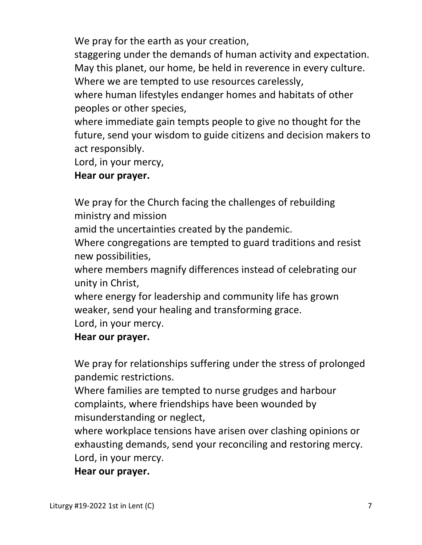We pray for the earth as your creation,

 staggering under the demands of human activity and expectation. May this planet, our home, be held in reverence in every culture. Where we are tempted to use resources carelessly,

 where human lifestyles endanger homes and habitats of other peoples or other species,

 where immediate gain tempts people to give no thought for the future, send your wisdom to guide citizens and decision makers to act responsibly.

Lord, in your mercy,

## **Hear our prayer.**

 We pray for the Church facing the challenges of rebuilding ministry and mission

amid the uncertainties created by the pandemic.

 Where congregations are tempted to guard traditions and resist new possibilities,

 where members magnify differences instead of celebrating our unity in Christ,

 where energy for leadership and community life has grown weaker, send your healing and transforming grace.

Lord, in your mercy.

### **Hear our prayer.**

 We pray for relationships suffering under the stress of prolonged pandemic restrictions.

 Where families are tempted to nurse grudges and harbour complaints, where friendships have been wounded by misunderstanding or neglect,

 where workplace tensions have arisen over clashing opinions or exhausting demands, send your reconciling and restoring mercy. Lord, in your mercy.

 **Hear our prayer.**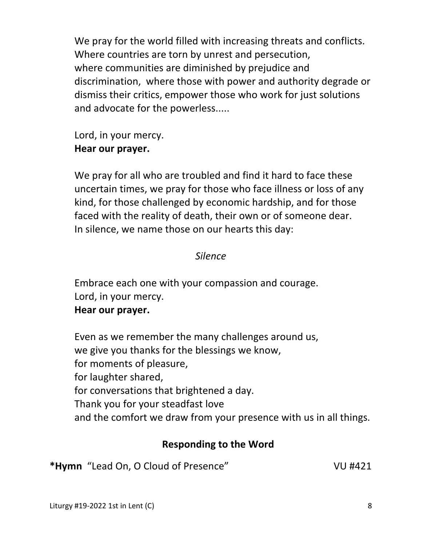We pray for the world filled with increasing threats and conflicts. Where countries are torn by unrest and persecution, where communities are diminished by prejudice and discrimination, where those with power and authority degrade or dismiss their critics, empower those who work for just solutions and advocate for the powerless.....

 Lord, in your mercy.  **Hear our prayer.** 

 We pray for all who are troubled and find it hard to face these uncertain times, we pray for those who face illness or loss of any kind, for those challenged by economic hardship, and for those faced with the reality of death, their own or of someone dear. In silence, we name those on our hearts this day:

## *Silence*

 Embrace each one with your compassion and courage. Lord, in your mercy.

#### **Hear our prayer.**

 Even as we remember the many challenges around us, we give you thanks for the blessings we know, for moments of pleasure, for laughter shared, for conversations that brightened a day. Thank you for your steadfast love and the comfort we draw from your presence with us in all things.

### **Responding to the Word**

\*Hymn "Lead On, O Cloud of Presence" VU #421